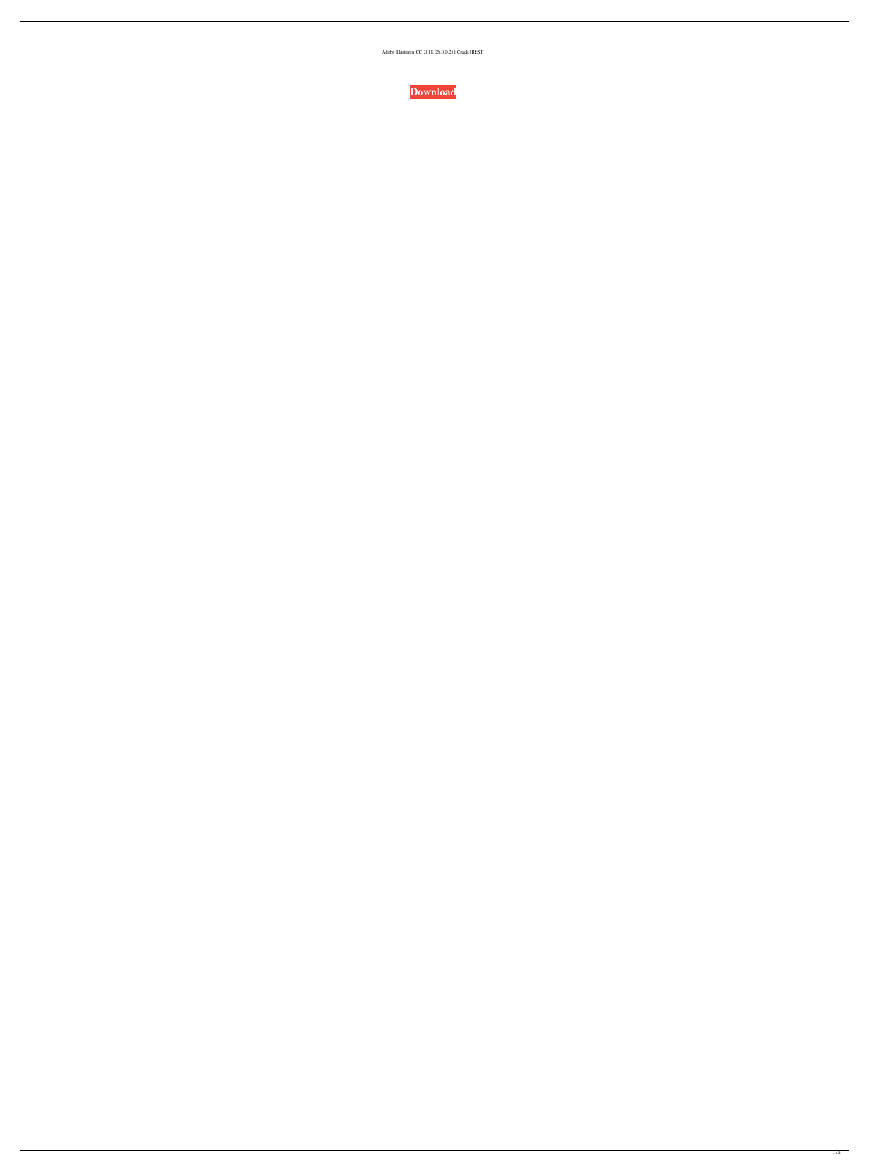Adobe Illustrator CC 2018. 26.0.0.251 Crack [BEST]

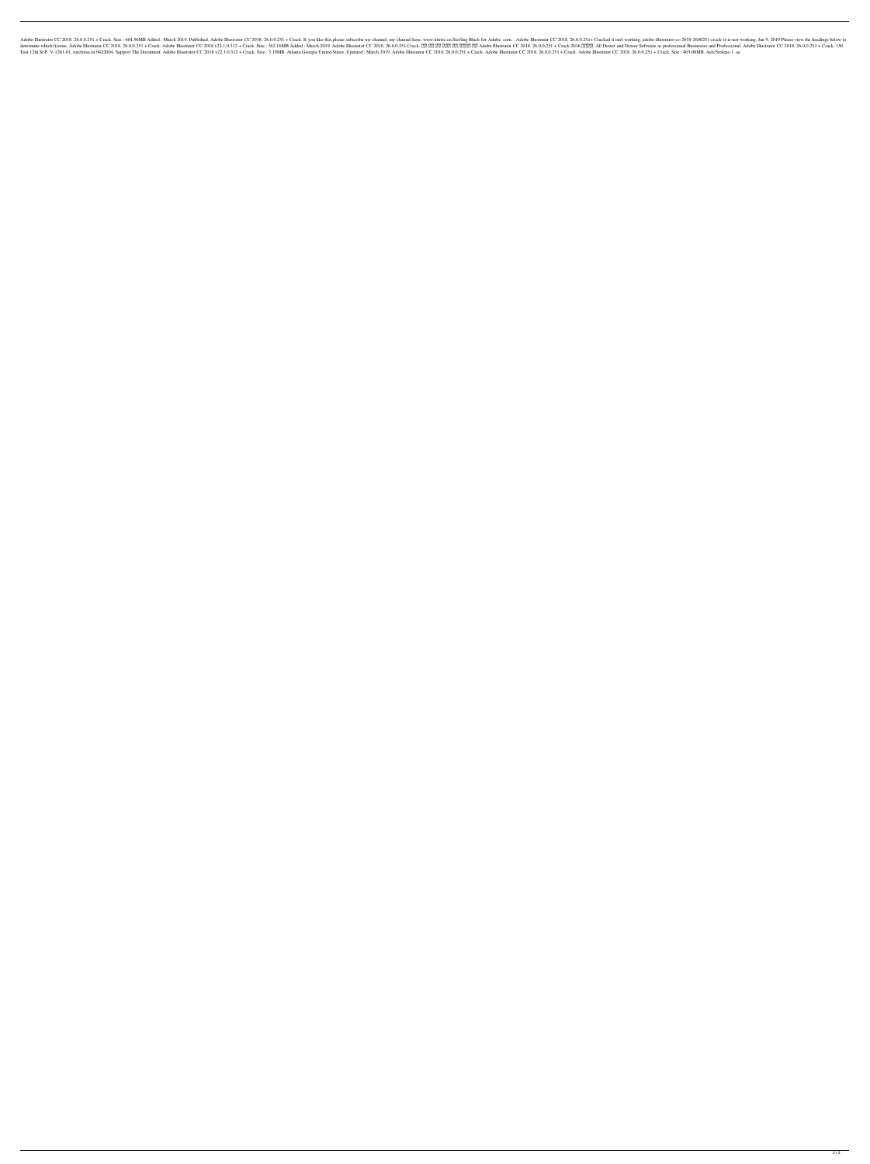1000251 + Crack. Size : 464.56MB Added : March 2019. Published. Adobe Illustrator CC 2018. 26.00.251 + Crack. If you like this,please subscribe my channel. my channel here. www.nitrite.cn.Sterling Black for Adobe.com. . Ad 8.00.0.251 + Crack Adobe Blustrator CC 2018. 26.0.0.251 + Crack. Adobe Blustrator CC 2018. 26.0.0.251 + Crack. Adobe Blustrator CC 2018 v22.1.0.312 + Crack Size : 362.16MB Added : March 2019. 26.0.0.251 + Crack 2016 20218. East 12th St P. V-1261-01. torchitsa.ru:9422004. Support The Document. Adobe Illustrator CC 2018 v22.1.0.312 + Crack. Size : 3.19MB. Atlanta Georgia United States. Updated : March 2019. Adobe Illustrator CC 2018. 26.0.0.25